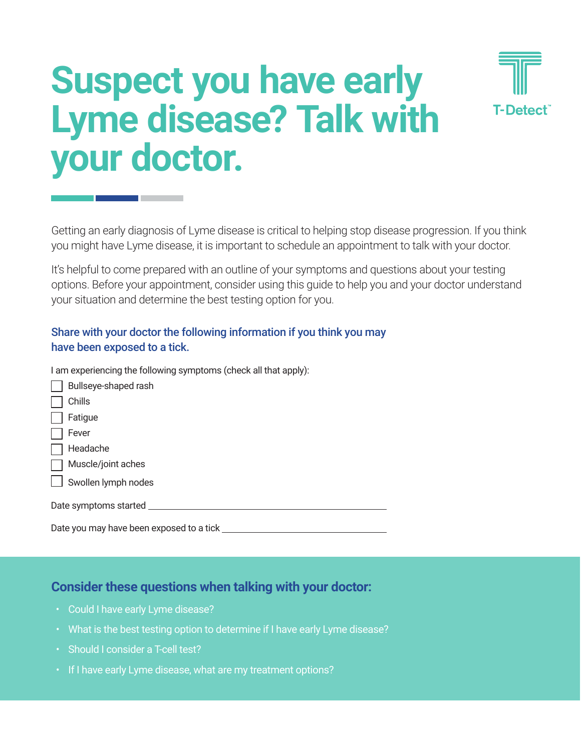# **Suspect you have early Lyme disease? Talk with your doctor.**



Getting an early diagnosis of Lyme disease is critical to helping stop disease progression. If you think you might have Lyme disease, it is important to schedule an appointment to talk with your doctor.

It's helpful to come prepared with an outline of your symptoms and questions about your testing options. Before your appointment, consider using this guide to help you and your doctor understand your situation and determine the best testing option for you.

### Share with your doctor the following information if you think you may have been exposed to a tick.

I am experiencing the following symptoms (check all that apply):

| Bullseye-shaped rash                     |
|------------------------------------------|
| Chills                                   |
| Fatigue                                  |
| Fever                                    |
| Headache                                 |
| Muscle/joint aches                       |
| Swollen lymph nodes                      |
| Date symptoms started                    |
| Date you may have been exposed to a tick |

### **Consider these questions when talking with your doctor:**

- Could I have early Lyme disease?
- What is the best testing option to determine if I have early Lyme disease?
- Should I consider a T-cell test?
- If I have early Lyme disease, what are my treatment options?